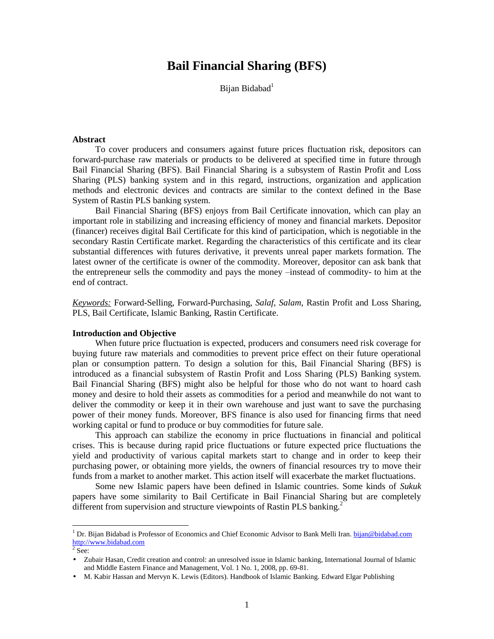# **Bail Financial Sharing (BFS)**

Bijan Bidabad<sup>1</sup>

#### **Abstract**

To cover producers and consumers against future prices fluctuation risk, depositors can forward-purchase raw materials or products to be delivered at specified time in future through Bail Financial Sharing (BFS). Bail Financial Sharing is a subsystem of Rastin Profit and Loss Sharing (PLS) banking system and in this regard, instructions, organization and application methods and electronic devices and contracts are similar to the context defined in the Base System of Rastin PLS banking system.

Bail Financial Sharing (BFS) enjoys from Bail Certificate innovation, which can play an important role in stabilizing and increasing efficiency of money and financial markets. Depositor (financer) receives digital Bail Certificate for this kind of participation, which is negotiable in the secondary Rastin Certificate market. Regarding the characteristics of this certificate and its clear substantial differences with futures derivative, it prevents unreal paper markets formation. The latest owner of the certificate is owner of the commodity. Moreover, depositor can ask bank that the entrepreneur sells the commodity and pays the money –instead of commodity- to him at the end of contract.

*Keywords:* Forward-Selling, Forward-Purchasing, *Salaf*, *Salam*, Rastin Profit and Loss Sharing, PLS, Bail Certificate, Islamic Banking, Rastin Certificate.

## **Introduction and Objective**

When future price fluctuation is expected, producers and consumers need risk coverage for buying future raw materials and commodities to prevent price effect on their future operational plan or consumption pattern. To design a solution for this, Bail Financial Sharing (BFS) is introduced as a financial subsystem of Rastin Profit and Loss Sharing (PLS) Banking system. Bail Financial Sharing (BFS) might also be helpful for those who do not want to hoard cash money and desire to hold their assets as commodities for a period and meanwhile do not want to deliver the commodity or keep it in their own warehouse and just want to save the purchasing power of their money funds. Moreover, BFS finance is also used for financing firms that need working capital or fund to produce or buy commodities for future sale.

This approach can stabilize the economy in price fluctuations in financial and political crises. This is because during rapid price fluctuations or future expected price fluctuations the yield and productivity of various capital markets start to change and in order to keep their purchasing power, or obtaining more yields, the owners of financial resources try to move their funds from a market to another market. This action itself will exacerbate the market fluctuations.

Some new Islamic papers have been defined in Islamic countries. Some kinds of *Sukuk*  papers have some similarity to Bail Certificate in Bail Financial Sharing but are completely different from supervision and structure viewpoints of Rastin PLS banking.<sup>2</sup>

 $\overline{a}$ 

<sup>&</sup>lt;sup>1</sup> Dr. Bijan Bidabad is Professor of Economics and Chief Economic Advisor to Bank Melli Iran. [bijan@bidabad.com](mailto:bijan@bidabad.com) <http://www.bidabad.com><br><sup>2</sup> See:

<sup>•</sup> Zubair Hasan, Credit creation and control: an unresolved issue in Islamic banking, International Journal of Islamic and Middle Eastern Finance and Management, Vol. 1 No. 1, 2008, pp. 69-81.

<sup>•</sup> M. Kabir Hassan and Mervyn K. Lewis (Editors). Handbook of Islamic Banking. Edward Elgar Publishing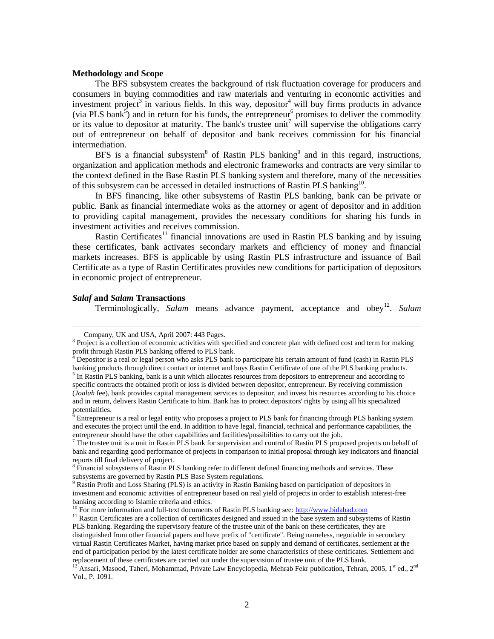#### **Methodology and Scope**

The BFS subsystem creates the background of risk fluctuation coverage for producers and consumers in buying commodities and raw materials and venturing in economic activities and investment project<sup>3</sup> in various fields. In this way, depositor<sup>4</sup> will buy firms products in advance (via PLS bank<sup>5</sup>) and in return for his funds, the entrepreneur<sup>6</sup> promises to deliver the commodity or its value to depositor at maturity. The bank's trustee unit<sup>7</sup> will supervise the obligations carry out of entrepreneur on behalf of depositor and bank receives commission for his financial intermediation.

BFS is a financial subsystem<sup>8</sup> of Rastin PLS banking<sup>9</sup> and in this regard, instructions, organization and application methods and electronic frameworks and contracts are very similar to the context defined in the Base Rastin PLS banking system and therefore, many of the necessities of this subsystem can be accessed in detailed instructions of Rastin PLS banking<sup>10</sup>.

In BFS financing, like other subsystems of Rastin PLS banking, bank can be private or public. Bank as financial intermediate woks as the attorney or agent of depositor and in addition to providing capital management, provides the necessary conditions for sharing his funds in investment activities and receives commission.

Rastin Certificates<sup>11</sup> financial innovations are used in Rastin PLS banking and by issuing these certificates, bank activates secondary markets and efficiency of money and financial markets increases. BFS is applicable by using Rastin PLS infrastructure and issuance of Bail Certificate as a type of Rastin Certificates provides new conditions for participation of depositors in economic project of entrepreneur.

#### *Salaf* **and** *Salam* **Transactions**

 $\overline{a}$ 

Terminologically, Salam means advance payment, acceptance and obey<sup>12</sup>. Salam

Company, UK and USA, April 2007: 443 Pages.

<sup>&</sup>lt;sup>3</sup> Project is a collection of economic activities with specified and concrete plan with defined cost and term for making profit through Rastin PLS banking offered to PLS bank.

<sup>&</sup>lt;sup>4</sup> Depositor is a real or legal person who asks PLS bank to participate his certain amount of fund (cash) in Rastin PLS banking products through direct contact or internet and buys Rastin Certificate of one of the PLS banking products.

 $<sup>5</sup>$  In Rastin PLS banking, bank is a unit which allocates resources from depositors to entrepreneur and according to</sup> specific contracts the obtained profit or loss is divided between depositor, entrepreneur. By receiving commission (*Joalah* fee), bank provides capital management services to depositor, and invest his resources according to his choice and in return, delivers Rastin Certificate to him. Bank has to protect depositors' rights by using all his specialized potentialities.

Entrepreneur is a real or legal entity who proposes a project to PLS bank for financing through PLS banking system and executes the project until the end. In addition to have legal, financial, technical and performance capabilities, the entrepreneur should have the other capabilities and facilities/possibilities to carry out the job.

 $^7$  The trustee unit is a unit in Rastin PLS bank for supervision and control of Rastin PLS proposed projects on behalf of bank and regarding good performance of projects in comparison to initial proposal through key indicators and financial reports till final delivery of project.

<sup>&</sup>lt;sup>8</sup> Financial subsystems of Rastin PLS banking refer to different defined financing methods and services. These subsystems are governed by Rastin PLS Base System regulations.

Rastin Profit and Loss Sharing (PLS) is an activity in Rastin Banking based on participation of depositors in investment and economic activities of entrepreneur based on real yield of projects in order to establish interest-free banking according to Islamic criteria and ethics.

<sup>&</sup>lt;sup>10</sup> For more information and full-text documents of Rastin PLS banking see:<http://www.bidabad.com>

 $11$  Rastin Certificates are a collection of certificates designed and issued in the base system and subsystems of Rastin PLS banking. Regarding the supervisory feature of the trustee unit of the bank on these certificates, they are distinguished from other financial papers and have prefix of "certificate". Being nameless, negotiable in secondary virtual Rastin Certificates Market, having market price based on supply and demand of certificates, settlement at the end of participation period by the latest certificate holder are some characteristics of these certificates. Settlement and replacement of these certificates are carried out under the supervision of trustee unit of the PLS bank.

<sup>&</sup>lt;sup>12</sup> Ansari, Masood, Taheri, Mohammad, Private Law Encyclopedia, Mehrab Fekr publication, Tehran, 2005, 1<sup>st</sup> ed., 2<sup>nd</sup> Vol., P. 1091.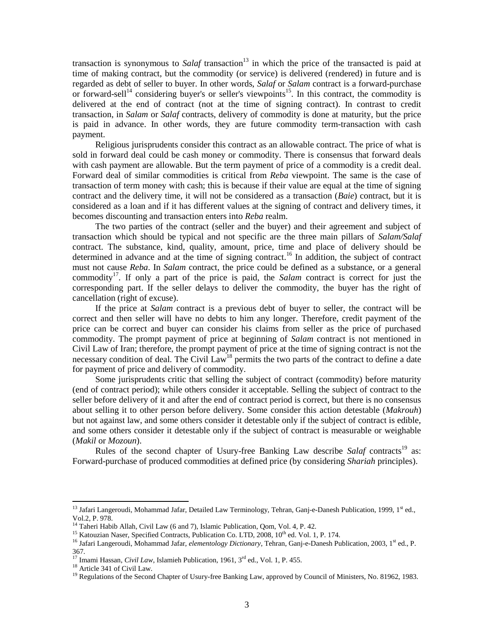transaction is synonymous to *Salaf* transaction<sup>13</sup> in which the price of the transacted is paid at time of making contract, but the commodity (or service) is delivered (rendered) in future and is regarded as debt of seller to buyer. In other words, *Salaf* or *Salam* contract is a forward-purchase or forward-sell<sup>14</sup> considering buyer's or seller's viewpoints<sup>15</sup>. In this contract, the commodity is delivered at the end of contract (not at the time of signing contract). In contrast to credit transaction, in *Salam* or *Salaf* contracts, delivery of commodity is done at maturity, but the price is paid in advance. In other words, they are future commodity term-transaction with cash payment.

Religious jurisprudents consider this contract as an allowable contract. The price of what is sold in forward deal could be cash money or commodity. There is consensus that forward deals with cash payment are allowable. But the term payment of price of a commodity is a credit deal. Forward deal of similar commodities is critical from *Reba* viewpoint. The same is the case of transaction of term money with cash; this is because if their value are equal at the time of signing contract and the delivery time, it will not be considered as a transaction (*Baie*) contract, but it is considered as a loan and if it has different values at the signing of contract and delivery times, it becomes discounting and transaction enters into *Reba* realm.

The two parties of the contract (seller and the buyer) and their agreement and subject of transaction which should be typical and not specific are the three main pillars of *Salam/Salaf* contract. The substance, kind, quality, amount, price, time and place of delivery should be determined in advance and at the time of signing contract.<sup>16</sup> In addition, the subject of contract must not cause *Reba*. In *Salam* contract, the price could be defined as a substance, or a general commodity<sup>17</sup>. If only a part of the price is paid, the *Salam* contract is correct for just the corresponding part. If the seller delays to deliver the commodity, the buyer has the right of cancellation (right of excuse).

If the price at *Salam* contract is a previous debt of buyer to seller, the contract will be correct and then seller will have no debts to him any longer. Therefore, credit payment of the price can be correct and buyer can consider his claims from seller as the price of purchased commodity. The prompt payment of price at beginning of *Salam* contract is not mentioned in Civil Law of Iran; therefore, the prompt payment of price at the time of signing contract is not the necessary condition of deal. The Civil Law<sup>18</sup> permits the two parts of the contract to define a date for payment of price and delivery of commodity.

Some jurisprudents critic that selling the subject of contract (commodity) before maturity (end of contract period); while others consider it acceptable. Selling the subject of contract to the seller before delivery of it and after the end of contract period is correct, but there is no consensus about selling it to other person before delivery. Some consider this action detestable (*Makrouh*) but not against law, and some others consider it detestable only if the subject of contract is edible, and some others consider it detestable only if the subject of contract is measurable or weighable (*Makil* or *Mozoun*).

Rules of the second chapter of Usury-free Banking Law describe *Salaf* contracts<sup>19</sup> as: Forward-purchase of produced commodities at defined price (by considering *Shariah* principles).

l

<sup>&</sup>lt;sup>13</sup> Jafari Langeroudi, Mohammad Jafar, Detailed Law Terminology, Tehran, Ganj-e-Danesh Publication, 1999, 1<sup>st</sup> ed., Vol.2, P. 978.

<sup>14</sup> Taheri Habib Allah, Civil Law (6 and 7), Islamic Publication, Qom, Vol. 4, P. 42.

<sup>&</sup>lt;sup>15</sup> Katouzian Naser, Specified Contracts, Publication Co. LTD, 2008, 10<sup>th</sup> ed. Vol. 1, P. 174.

<sup>&</sup>lt;sup>16</sup> Jafari Langeroudi, Mohammad Jafar, *elementology Dictionary*, Tehran, Ganj-e-Danesh Publication, 2003, 1<sup>st</sup> ed., P. 367.

<sup>&</sup>lt;sup>17</sup> Imami Hassan, *Civil Law*, Islamieh Publication, 1961, 3<sup>rd</sup> ed., Vol. 1, P. 455.

<sup>&</sup>lt;sup>18</sup> Article 341 of Civil Law.

<sup>&</sup>lt;sup>19</sup> Regulations of the Second Chapter of Usury-free Banking Law, approved by Council of Ministers, No. 81962, 1983.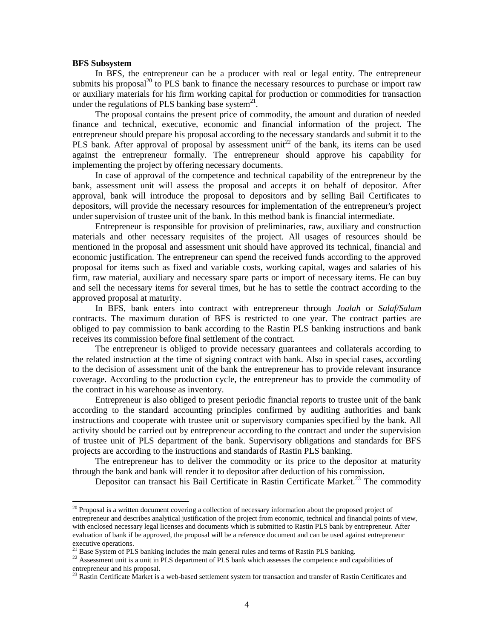#### **BFS Subsystem**

l

In BFS, the entrepreneur can be a producer with real or legal entity. The entrepreneur submits his proposal<sup>20</sup> to PLS bank to finance the necessary resources to purchase or import raw or auxiliary materials for his firm working capital for production or commodities for transaction under the regulations of PLS banking base system $^{21}$ .

The proposal contains the present price of commodity, the amount and duration of needed finance and technical, executive, economic and financial information of the project. The entrepreneur should prepare his proposal according to the necessary standards and submit it to the PLS bank. After approval of proposal by assessment unit<sup>22</sup> of the bank, its items can be used against the entrepreneur formally. The entrepreneur should approve his capability for implementing the project by offering necessary documents.

In case of approval of the competence and technical capability of the entrepreneur by the bank, assessment unit will assess the proposal and accepts it on behalf of depositor. After approval, bank will introduce the proposal to depositors and by selling Bail Certificates to depositors, will provide the necessary resources for implementation of the entrepreneur's project under supervision of trustee unit of the bank. In this method bank is financial intermediate.

Entrepreneur is responsible for provision of preliminaries, raw, auxiliary and construction materials and other necessary requisites of the project. All usages of resources should be mentioned in the proposal and assessment unit should have approved its technical, financial and economic justification. The entrepreneur can spend the received funds according to the approved proposal for items such as fixed and variable costs, working capital, wages and salaries of his firm, raw material, auxiliary and necessary spare parts or import of necessary items. He can buy and sell the necessary items for several times, but he has to settle the contract according to the approved proposal at maturity.

In BFS, bank enters into contract with entrepreneur through *Joalah* or *Salaf/Salam* contracts. The maximum duration of BFS is restricted to one year. The contract parties are obliged to pay commission to bank according to the Rastin PLS banking instructions and bank receives its commission before final settlement of the contract.

The entrepreneur is obliged to provide necessary guarantees and collaterals according to the related instruction at the time of signing contract with bank. Also in special cases, according to the decision of assessment unit of the bank the entrepreneur has to provide relevant insurance coverage. According to the production cycle, the entrepreneur has to provide the commodity of the contract in his warehouse as inventory.

Entrepreneur is also obliged to present periodic financial reports to trustee unit of the bank according to the standard accounting principles confirmed by auditing authorities and bank instructions and cooperate with trustee unit or supervisory companies specified by the bank. All activity should be carried out by entrepreneur according to the contract and under the supervision of trustee unit of PLS department of the bank. Supervisory obligations and standards for BFS projects are according to the instructions and standards of Rastin PLS banking.

The entrepreneur has to deliver the commodity or its price to the depositor at maturity through the bank and bank will render it to depositor after deduction of his commission.

Depositor can transact his Bail Certificate in Rastin Certificate Market.<sup>23</sup> The commodity

<sup>&</sup>lt;sup>20</sup> Proposal is a written document covering a collection of necessary information about the proposed project of entrepreneur and describes analytical justification of the project from economic, technical and financial points of view, with enclosed necessary legal licenses and documents which is submitted to Rastin PLS bank by entrepreneur. After evaluation of bank if be approved, the proposal will be a reference document and can be used against entrepreneur executive operations.

<sup>&</sup>lt;sup>21</sup> Base System of PLS banking includes the main general rules and terms of Rastin PLS banking.

<sup>&</sup>lt;sup>22</sup> Assessment unit is a unit in PLS department of PLS bank which assesses the competence and capabilities of entrepreneur and his proposal.

<sup>&</sup>lt;sup>23</sup> Rastin Certificate Market is a web-based settlement system for transaction and transfer of Rastin Certificates and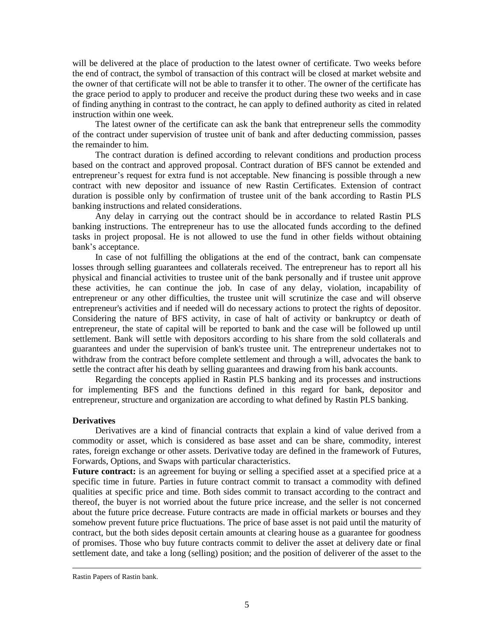will be delivered at the place of production to the latest owner of certificate. Two weeks before the end of contract, the symbol of transaction of this contract will be closed at market website and the owner of that certificate will not be able to transfer it to other. The owner of the certificate has the grace period to apply to producer and receive the product during these two weeks and in case of finding anything in contrast to the contract, he can apply to defined authority as cited in related instruction within one week.

The latest owner of the certificate can ask the bank that entrepreneur sells the commodity of the contract under supervision of trustee unit of bank and after deducting commission, passes the remainder to him.

The contract duration is defined according to relevant conditions and production process based on the contract and approved proposal. Contract duration of BFS cannot be extended and entrepreneur's request for extra fund is not acceptable. New financing is possible through a new contract with new depositor and issuance of new Rastin Certificates. Extension of contract duration is possible only by confirmation of trustee unit of the bank according to Rastin PLS banking instructions and related considerations.

Any delay in carrying out the contract should be in accordance to related Rastin PLS banking instructions. The entrepreneur has to use the allocated funds according to the defined tasks in project proposal. He is not allowed to use the fund in other fields without obtaining bank's acceptance.

In case of not fulfilling the obligations at the end of the contract, bank can compensate losses through selling guarantees and collaterals received. The entrepreneur has to report all his physical and financial activities to trustee unit of the bank personally and if trustee unit approve these activities, he can continue the job. In case of any delay, violation, incapability of entrepreneur or any other difficulties, the trustee unit will scrutinize the case and will observe entrepreneur's activities and if needed will do necessary actions to protect the rights of depositor. Considering the nature of BFS activity, in case of halt of activity or bankruptcy or death of entrepreneur, the state of capital will be reported to bank and the case will be followed up until settlement. Bank will settle with depositors according to his share from the sold collaterals and guarantees and under the supervision of bank's trustee unit. The entrepreneur undertakes not to withdraw from the contract before complete settlement and through a will, advocates the bank to settle the contract after his death by selling guarantees and drawing from his bank accounts.

Regarding the concepts applied in Rastin PLS banking and its processes and instructions for implementing BFS and the functions defined in this regard for bank, depositor and entrepreneur, structure and organization are according to what defined by Rastin PLS banking.

## **Derivatives**

Derivatives are a kind of financial contracts that explain a kind of value derived from a commodity or asset, which is considered as base asset and can be share, commodity, interest rates, foreign exchange or other assets. Derivative today are defined in the framework of Futures, Forwards, Options, and Swaps with particular characteristics.

**Future contract:** is an agreement for buying or selling a specified asset at a specified price at a specific time in future. Parties in future contract commit to transact a commodity with defined qualities at specific price and time. Both sides commit to transact according to the contract and thereof, the buyer is not worried about the future price increase, and the seller is not concerned about the future price decrease. Future contracts are made in official markets or bourses and they somehow prevent future price fluctuations. The price of base asset is not paid until the maturity of contract, but the both sides deposit certain amounts at clearing house as a guarantee for goodness of promises. Those who buy future contracts commit to deliver the asset at delivery date or final settlement date, and take a long (selling) position; and the position of deliverer of the asset to the

<u>.</u>

Rastin Papers of Rastin bank.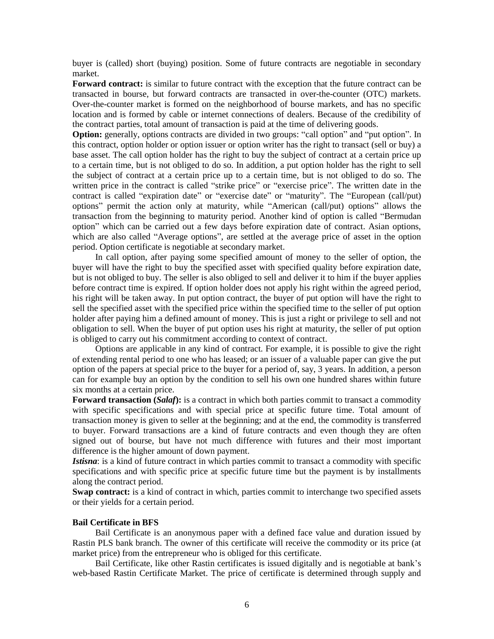buyer is (called) short (buying) position. Some of future contracts are negotiable in secondary market.

**Forward contract:** is similar to future contract with the exception that the future contract can be transacted in bourse, but forward contracts are transacted in over-the-counter (OTC) markets. Over-the-counter market is formed on the neighborhood of bourse markets, and has no specific location and is formed by cable or internet connections of dealers. Because of the credibility of the contract parties, total amount of transaction is paid at the time of delivering goods.

**Option:** generally, options contracts are divided in two groups: "call option" and "put option". In this contract, option holder or option issuer or option writer has the right to transact (sell or buy) a base asset. The call option holder has the right to buy the subject of contract at a certain price up to a certain time, but is not obliged to do so. In addition, a put option holder has the right to sell the subject of contract at a certain price up to a certain time, but is not obliged to do so. The written price in the contract is called "strike price" or "exercise price". The written date in the contract is called "expiration date" or "exercise date" or "maturity". The "European (call/put) options" permit the action only at maturity, while "American (call/put) options" allows the transaction from the beginning to maturity period. Another kind of option is called "Bermudan option" which can be carried out a few days before expiration date of contract. Asian options, which are also called "Average options", are settled at the average price of asset in the option period. Option certificate is negotiable at secondary market.

In call option, after paying some specified amount of money to the seller of option, the buyer will have the right to buy the specified asset with specified quality before expiration date, but is not obliged to buy. The seller is also obliged to sell and deliver it to him if the buyer applies before contract time is expired. If option holder does not apply his right within the agreed period, his right will be taken away. In put option contract, the buyer of put option will have the right to sell the specified asset with the specified price within the specified time to the seller of put option holder after paying him a defined amount of money. This is just a right or privilege to sell and not obligation to sell. When the buyer of put option uses his right at maturity, the seller of put option is obliged to carry out his commitment according to context of contract.

Options are applicable in any kind of contract. For example, it is possible to give the right of extending rental period to one who has leased; or an issuer of a valuable paper can give the put option of the papers at special price to the buyer for a period of, say, 3 years. In addition, a person can for example buy an option by the condition to sell his own one hundred shares within future six months at a certain price.

**Forward transaction (***Salaf***):** is a contract in which both parties commit to transact a commodity with specific specifications and with special price at specific future time. Total amount of transaction money is given to seller at the beginning; and at the end, the commodity is transferred to buyer. Forward transactions are a kind of future contracts and even though they are often signed out of bourse, but have not much difference with futures and their most important difference is the higher amount of down payment.

*Istisna*: is a kind of future contract in which parties commit to transact a commodity with specific specifications and with specific price at specific future time but the payment is by installments along the contract period.

**Swap contract:** is a kind of contract in which, parties commit to interchange two specified assets or their yields for a certain period.

## **Bail Certificate in BFS**

Bail Certificate is an anonymous paper with a defined face value and duration issued by Rastin PLS bank branch. The owner of this certificate will receive the commodity or its price (at market price) from the entrepreneur who is obliged for this certificate.

Bail Certificate, like other Rastin certificates is issued digitally and is negotiable at bank's web-based Rastin Certificate Market. The price of certificate is determined through supply and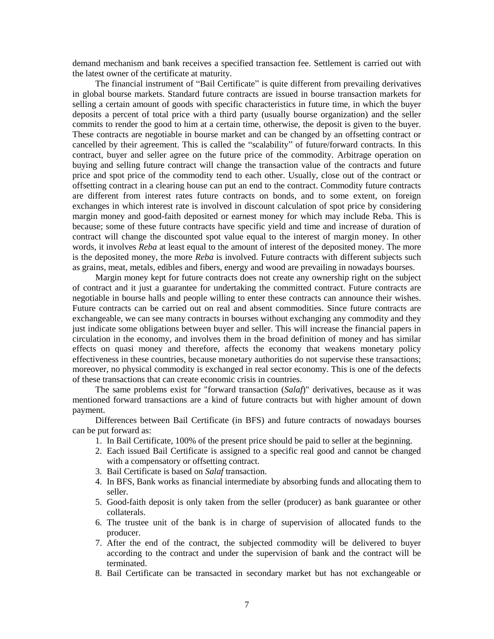demand mechanism and bank receives a specified transaction fee. Settlement is carried out with the latest owner of the certificate at maturity.

The financial instrument of "Bail Certificate" is quite different from prevailing derivatives in global bourse markets. Standard future contracts are issued in bourse transaction markets for selling a certain amount of goods with specific characteristics in future time, in which the buyer deposits a percent of total price with a third party (usually bourse organization) and the seller commits to render the good to him at a certain time, otherwise, the deposit is given to the buyer. These contracts are negotiable in bourse market and can be changed by an offsetting contract or cancelled by their agreement. This is called the "scalability" of future/forward contracts. In this contract, buyer and seller agree on the future price of the commodity. Arbitrage operation on buying and selling future contract will change the transaction value of the contracts and future price and spot price of the commodity tend to each other. Usually, close out of the contract or offsetting contract in a clearing house can put an end to the contract. Commodity future contracts are different from interest rates future contracts on bonds, and to some extent, on foreign exchanges in which interest rate is involved in discount calculation of spot price by considering margin money and good-faith deposited or earnest money for which may include Reba. This is because; some of these future contracts have specific yield and time and increase of duration of contract will change the discounted spot value equal to the interest of margin money. In other words, it involves *Reba* at least equal to the amount of interest of the deposited money. The more is the deposited money, the more *Reba* is involved. Future contracts with different subjects such as grains, meat, metals, edibles and fibers, energy and wood are prevailing in nowadays bourses.

Margin money kept for future contracts does not create any ownership right on the subject of contract and it just a guarantee for undertaking the committed contract. Future contracts are negotiable in bourse halls and people willing to enter these contracts can announce their wishes. Future contracts can be carried out on real and absent commodities. Since future contracts are exchangeable, we can see many contracts in bourses without exchanging any commodity and they just indicate some obligations between buyer and seller. This will increase the financial papers in circulation in the economy, and involves them in the broad definition of money and has similar effects on quasi money and therefore, affects the economy that weakens monetary policy effectiveness in these countries, because monetary authorities do not supervise these transactions; moreover, no physical commodity is exchanged in real sector economy. This is one of the defects of these transactions that can create economic crisis in countries.

The same problems exist for "forward transaction (*Salaf*)" derivatives, because as it was mentioned forward transactions are a kind of future contracts but with higher amount of down payment.

Differences between Bail Certificate (in BFS) and future contracts of nowadays bourses can be put forward as:

- 1. In Bail Certificate, 100% of the present price should be paid to seller at the beginning.
- 2. Each issued Bail Certificate is assigned to a specific real good and cannot be changed with a compensatory or offsetting contract.
- 3. Bail Certificate is based on *Salaf* transaction.
- 4. In BFS, Bank works as financial intermediate by absorbing funds and allocating them to seller.
- 5. Good-faith deposit is only taken from the seller (producer) as bank guarantee or other collaterals.
- 6. The trustee unit of the bank is in charge of supervision of allocated funds to the producer.
- 7. After the end of the contract, the subjected commodity will be delivered to buyer according to the contract and under the supervision of bank and the contract will be terminated.
- 8. Bail Certificate can be transacted in secondary market but has not exchangeable or